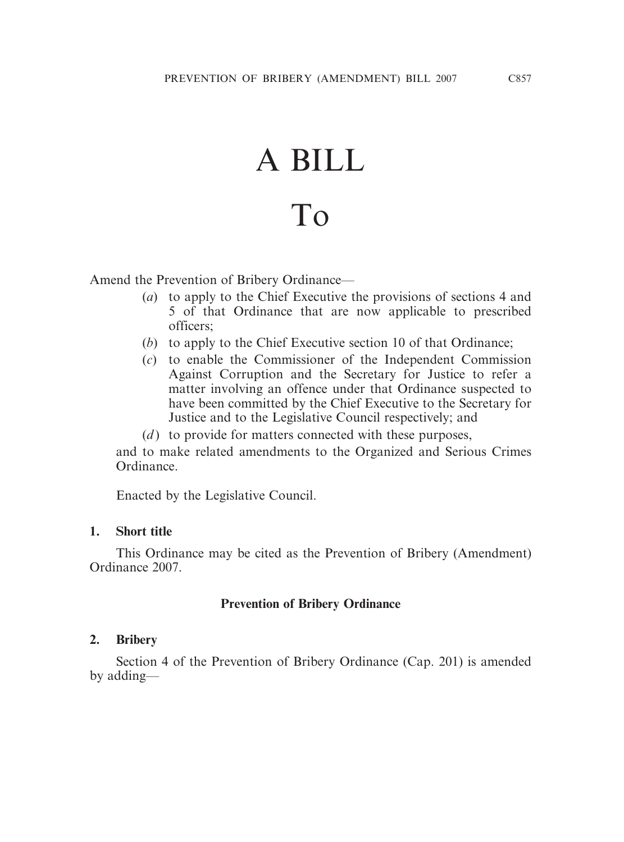# A BILL

# To

Amend the Prevention of Bribery Ordinance—

- (*a*) to apply to the Chief Executive the provisions of sections 4 and 5 of that Ordinance that are now applicable to prescribed officers;
- (*b*) to apply to the Chief Executive section 10 of that Ordinance;
- (*c*) to enable the Commissioner of the Independent Commission Against Corruption and the Secretary for Justice to refer a matter involving an offence under that Ordinance suspected to have been committed by the Chief Executive to the Secretary for Justice and to the Legislative Council respectively; and
- (*d*) to provide for matters connected with these purposes,

and to make related amendments to the Organized and Serious Crimes Ordinance.

Enacted by the Legislative Council.

# **1. Short title**

This Ordinance may be cited as the Prevention of Bribery (Amendment) Ordinance 2007.

# **Prevention of Bribery Ordinance**

#### **2. Bribery**

Section 4 of the Prevention of Bribery Ordinance (Cap. 201) is amended by adding—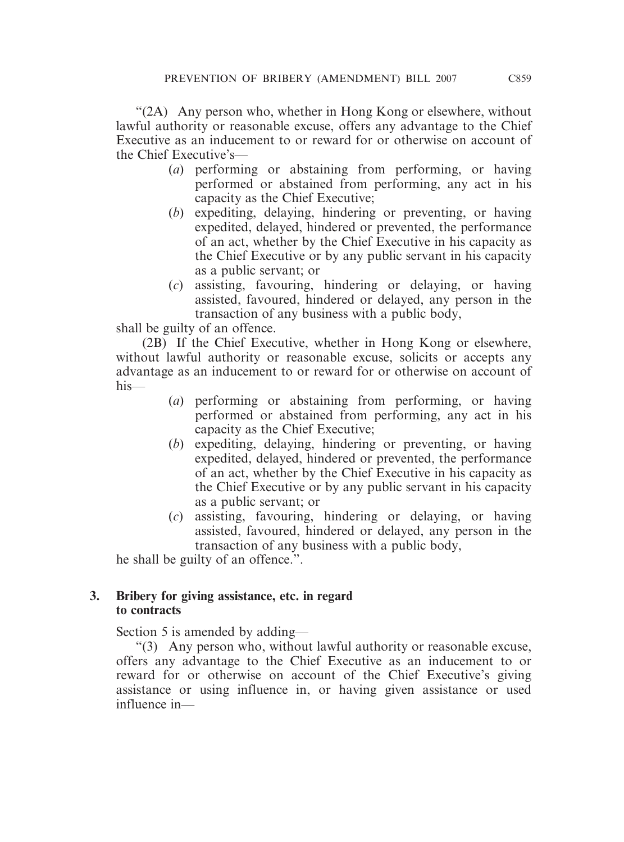"(2A) Any person who, whether in Hong Kong or elsewhere, without lawful authority or reasonable excuse, offers any advantage to the Chief Executive as an inducement to or reward for or otherwise on account of the Chief Executive's—

- (*a*) performing or abstaining from performing, or having performed or abstained from performing, any act in his capacity as the Chief Executive;
- (*b*) expediting, delaying, hindering or preventing, or having expedited, delayed, hindered or prevented, the performance of an act, whether by the Chief Executive in his capacity as the Chief Executive or by any public servant in his capacity as a public servant; or
- (*c*) assisting, favouring, hindering or delaying, or having assisted, favoured, hindered or delayed, any person in the transaction of any business with a public body,

shall be guilty of an offence.

(2B) If the Chief Executive, whether in Hong Kong or elsewhere, without lawful authority or reasonable excuse, solicits or accepts any advantage as an inducement to or reward for or otherwise on account of his—

- (*a*) performing or abstaining from performing, or having performed or abstained from performing, any act in his capacity as the Chief Executive;
- (*b*) expediting, delaying, hindering or preventing, or having expedited, delayed, hindered or prevented, the performance of an act, whether by the Chief Executive in his capacity as the Chief Executive or by any public servant in his capacity as a public servant; or
- (*c*) assisting, favouring, hindering or delaying, or having assisted, favoured, hindered or delayed, any person in the transaction of any business with a public body,

he shall be guilty of an offence.".

# **3. Bribery for giving assistance, etc. in regard to contracts**

Section 5 is amended by adding—

"(3) Any person who, without lawful authority or reasonable excuse, offers any advantage to the Chief Executive as an inducement to or reward for or otherwise on account of the Chief Executive's giving assistance or using influence in, or having given assistance or used influence in—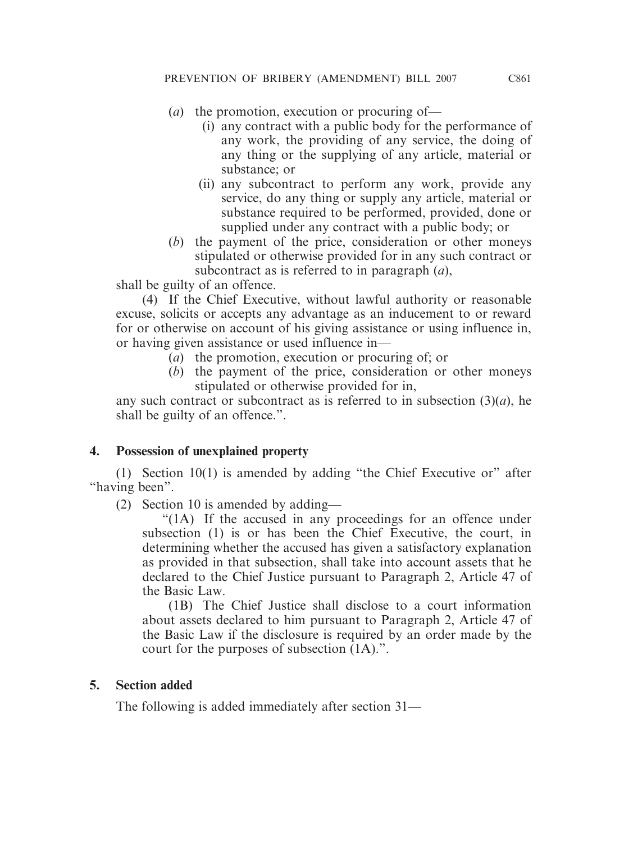- (*a*) the promotion, execution or procuring of—
	- (i) any contract with a public body for the performance of any work, the providing of any service, the doing of any thing or the supplying of any article, material or substance; or
	- (ii) any subcontract to perform any work, provide any service, do any thing or supply any article, material or substance required to be performed, provided, done or supplied under any contract with a public body; or
- (*b*) the payment of the price, consideration or other moneys stipulated or otherwise provided for in any such contract or subcontract as is referred to in paragraph (*a*),

shall be guilty of an offence.

(4) If the Chief Executive, without lawful authority or reasonable excuse, solicits or accepts any advantage as an inducement to or reward for or otherwise on account of his giving assistance or using influence in, or having given assistance or used influence in—

- (*a*) the promotion, execution or procuring of; or
- (*b*) the payment of the price, consideration or other moneys stipulated or otherwise provided for in,

any such contract or subcontract as is referred to in subsection  $(3)(a)$ , he shall be guilty of an offence.".

# **4. Possession of unexplained property**

(1) Section 10(1) is amended by adding "the Chief Executive or" after "having been".

(2) Section 10 is amended by adding—

"(1A) If the accused in any proceedings for an offence under subsection (1) is or has been the Chief Executive, the court, in determining whether the accused has given a satisfactory explanation as provided in that subsection, shall take into account assets that he declared to the Chief Justice pursuant to Paragraph 2, Article 47 of the Basic Law.

(1B) The Chief Justice shall disclose to a court information about assets declared to him pursuant to Paragraph 2, Article 47 of the Basic Law if the disclosure is required by an order made by the court for the purposes of subsection (1A).".

# **5. Section added**

The following is added immediately after section 31—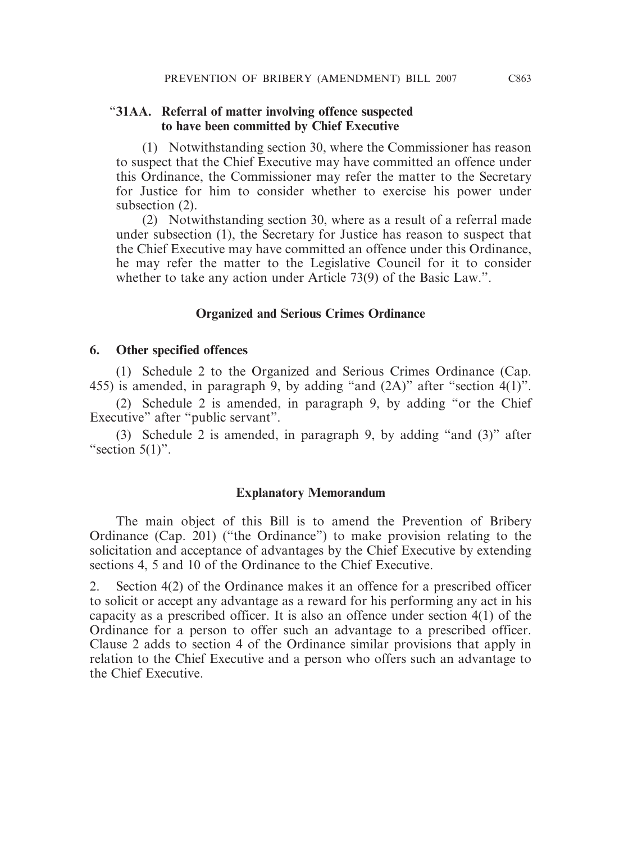### "**31AA. Referral of matter involving offence suspected to have been committed by Chief Executive**

(1) Notwithstanding section 30, where the Commissioner has reason to suspect that the Chief Executive may have committed an offence under this Ordinance, the Commissioner may refer the matter to the Secretary for Justice for him to consider whether to exercise his power under subsection (2).

(2) Notwithstanding section 30, where as a result of a referral made under subsection (1), the Secretary for Justice has reason to suspect that the Chief Executive may have committed an offence under this Ordinance, he may refer the matter to the Legislative Council for it to consider whether to take any action under Article 73(9) of the Basic Law.".

## **Organized and Serious Crimes Ordinance**

#### **6. Other specified offences**

(1) Schedule 2 to the Organized and Serious Crimes Ordinance (Cap. 455) is amended, in paragraph 9, by adding "and (2A)" after "section 4(1)".

(2) Schedule 2 is amended, in paragraph 9, by adding "or the Chief Executive" after "public servant".

(3) Schedule 2 is amended, in paragraph 9, by adding "and (3)" after "section  $5(1)$ ".

#### **Explanatory Memorandum**

The main object of this Bill is to amend the Prevention of Bribery Ordinance (Cap. 201) ("the Ordinance") to make provision relating to the solicitation and acceptance of advantages by the Chief Executive by extending sections 4, 5 and 10 of the Ordinance to the Chief Executive.

2. Section 4(2) of the Ordinance makes it an offence for a prescribed officer to solicit or accept any advantage as a reward for his performing any act in his capacity as a prescribed officer. It is also an offence under section 4(1) of the Ordinance for a person to offer such an advantage to a prescribed officer. Clause 2 adds to section 4 of the Ordinance similar provisions that apply in relation to the Chief Executive and a person who offers such an advantage to the Chief Executive.